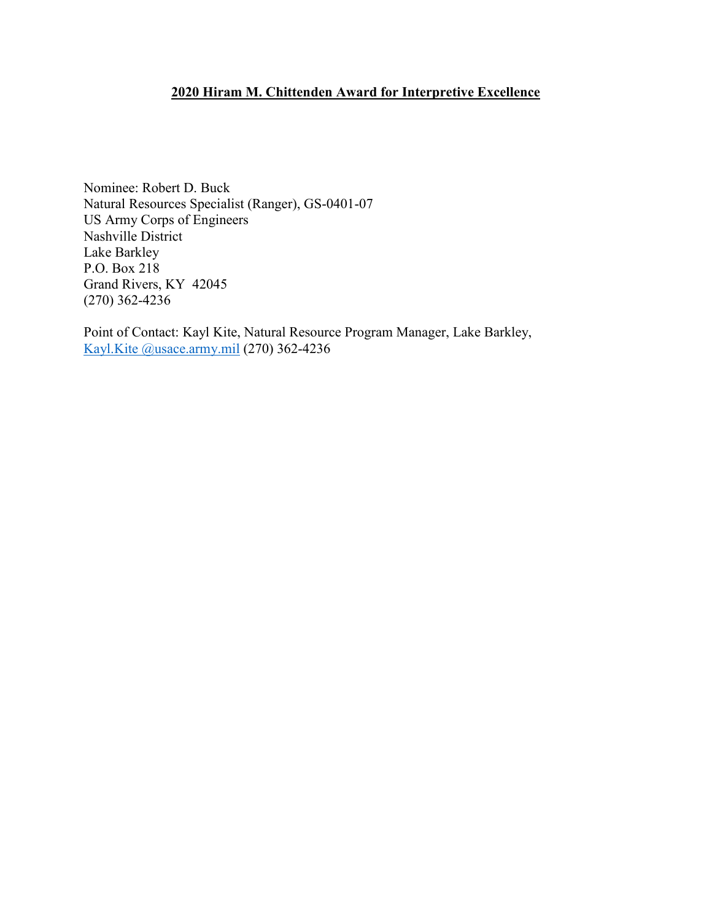## **2020 Hiram M. Chittenden Award for Interpretive Excellence**

Nominee: Robert D. Buck Natural Resources Specialist (Ranger), GS-0401-07 US Army Corps of Engineers Nashville District Lake Barkley P.O. Box 218 Grand Rivers, KY 42045 (270) 362-4236

Point of Contact: Kayl Kite, Natural Resource Program Manager, Lake Barkley, [Kayl.Kite @usace.army.mil](mailto:Jean.B.Siedel@usace.army.mil) (270) 362-4236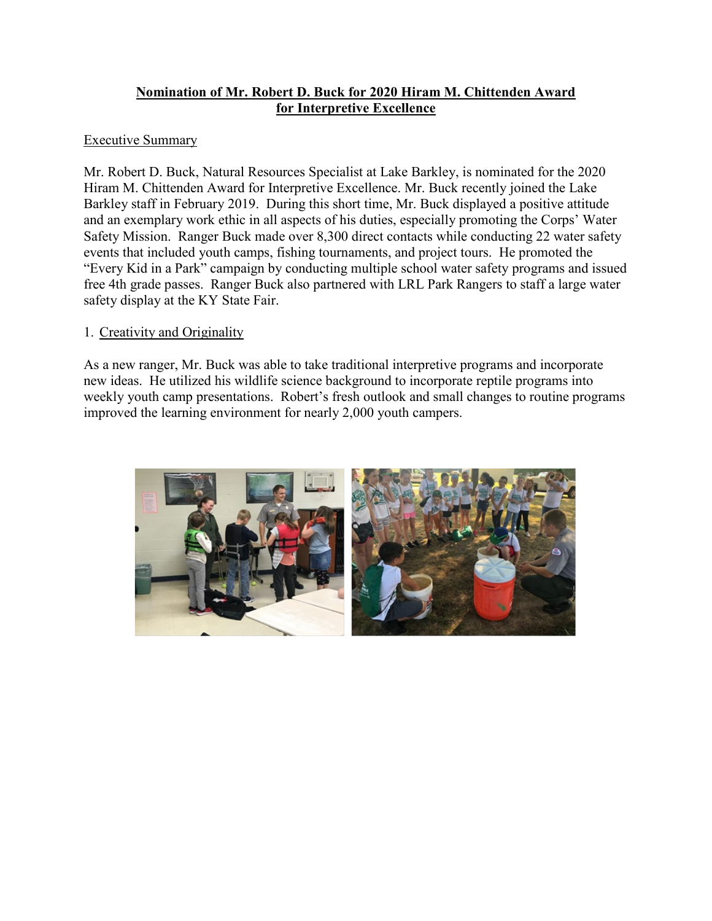# **Nomination of Mr. Robert D. Buck for 2020 Hiram M. Chittenden Award for Interpretive Excellence**

### Executive Summary

Mr. Robert D. Buck, Natural Resources Specialist at Lake Barkley, is nominated for the 2020 Hiram M. Chittenden Award for Interpretive Excellence. Mr. Buck recently joined the Lake Barkley staff in February 2019. During this short time, Mr. Buck displayed a positive attitude and an exemplary work ethic in all aspects of his duties, especially promoting the Corps' Water Safety Mission. Ranger Buck made over 8,300 direct contacts while conducting 22 water safety events that included youth camps, fishing tournaments, and project tours. He promoted the "Every Kid in a Park" campaign by conducting multiple school water safety programs and issued free 4th grade passes. Ranger Buck also partnered with LRL Park Rangers to staff a large water safety display at the KY State Fair.

### 1. Creativity and Originality

As a new ranger, Mr. Buck was able to take traditional interpretive programs and incorporate new ideas. He utilized his wildlife science background to incorporate reptile programs into weekly youth camp presentations. Robert's fresh outlook and small changes to routine programs improved the learning environment for nearly 2,000 youth campers.

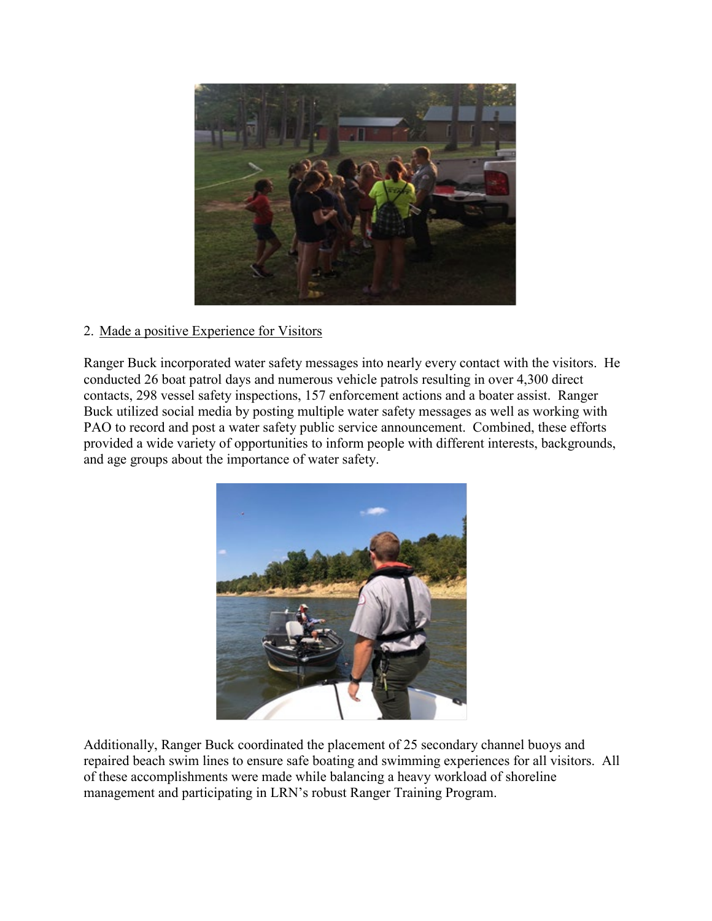

## 2. Made a positive Experience for Visitors

Ranger Buck incorporated water safety messages into nearly every contact with the visitors. He conducted 26 boat patrol days and numerous vehicle patrols resulting in over 4,300 direct contacts, 298 vessel safety inspections, 157 enforcement actions and a boater assist. Ranger Buck utilized social media by posting multiple water safety messages as well as working with PAO to record and post a water safety public service announcement. Combined, these efforts provided a wide variety of opportunities to inform people with different interests, backgrounds, and age groups about the importance of water safety.



Additionally, Ranger Buck coordinated the placement of 25 secondary channel buoys and repaired beach swim lines to ensure safe boating and swimming experiences for all visitors. All of these accomplishments were made while balancing a heavy workload of shoreline management and participating in LRN's robust Ranger Training Program.